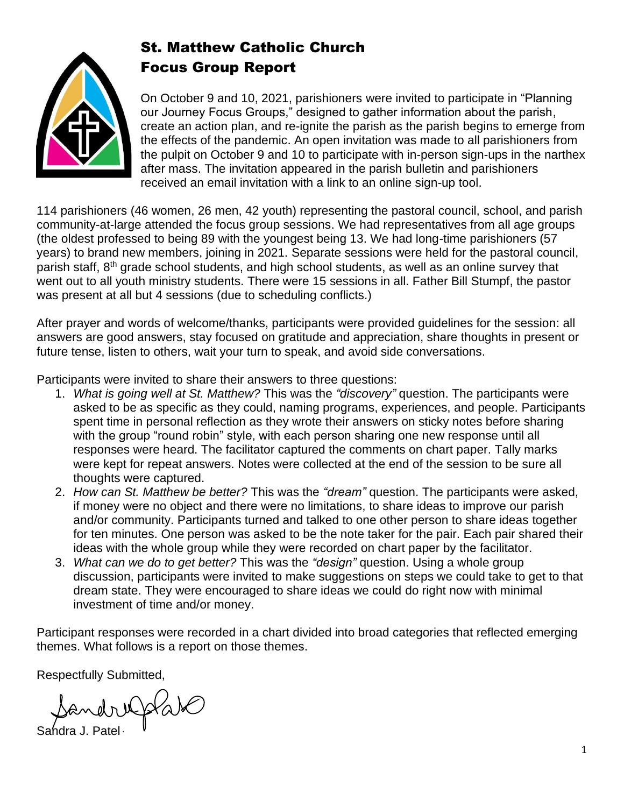

# St. Matthew Catholic Church Focus Group Report

On October 9 and 10, 2021, parishioners were invited to participate in "Planning our Journey Focus Groups," designed to gather information about the parish, create an action plan, and re-ignite the parish as the parish begins to emerge from the effects of the pandemic. An open invitation was made to all parishioners from the pulpit on October 9 and 10 to participate with in-person sign-ups in the narthex after mass. The invitation appeared in the parish bulletin and parishioners received an email invitation with a link to an online sign-up tool.

114 parishioners (46 women, 26 men, 42 youth) representing the pastoral council, school, and parish community-at-large attended the focus group sessions. We had representatives from all age groups (the oldest professed to being 89 with the youngest being 13. We had long-time parishioners (57 years) to brand new members, joining in 2021. Separate sessions were held for the pastoral council, parish staff, 8<sup>th</sup> grade school students, and high school students, as well as an online survey that went out to all youth ministry students. There were 15 sessions in all. Father Bill Stumpf, the pastor was present at all but 4 sessions (due to scheduling conflicts.)

After prayer and words of welcome/thanks, participants were provided guidelines for the session: all answers are good answers, stay focused on gratitude and appreciation, share thoughts in present or future tense, listen to others, wait your turn to speak, and avoid side conversations.

Participants were invited to share their answers to three questions:

- 1. *What is going well at St. Matthew?* This was the *"discovery"* question. The participants were asked to be as specific as they could, naming programs, experiences, and people. Participants spent time in personal reflection as they wrote their answers on sticky notes before sharing with the group "round robin" style, with each person sharing one new response until all responses were heard. The facilitator captured the comments on chart paper. Tally marks were kept for repeat answers. Notes were collected at the end of the session to be sure all thoughts were captured.
- 2. *How can St. Matthew be better?* This was the *"dream"* question. The participants were asked, if money were no object and there were no limitations, to share ideas to improve our parish and/or community. Participants turned and talked to one other person to share ideas together for ten minutes. One person was asked to be the note taker for the pair. Each pair shared their ideas with the whole group while they were recorded on chart paper by the facilitator.
- 3. *What can we do to get better?* This was the *"design"* question. Using a whole group discussion, participants were invited to make suggestions on steps we could take to get to that dream state. They were encouraged to share ideas we could do right now with minimal investment of time and/or money.

Participant responses were recorded in a chart divided into broad categories that reflected emerging themes. What follows is a report on those themes.

Respectfully Submitted,

Sandrufolate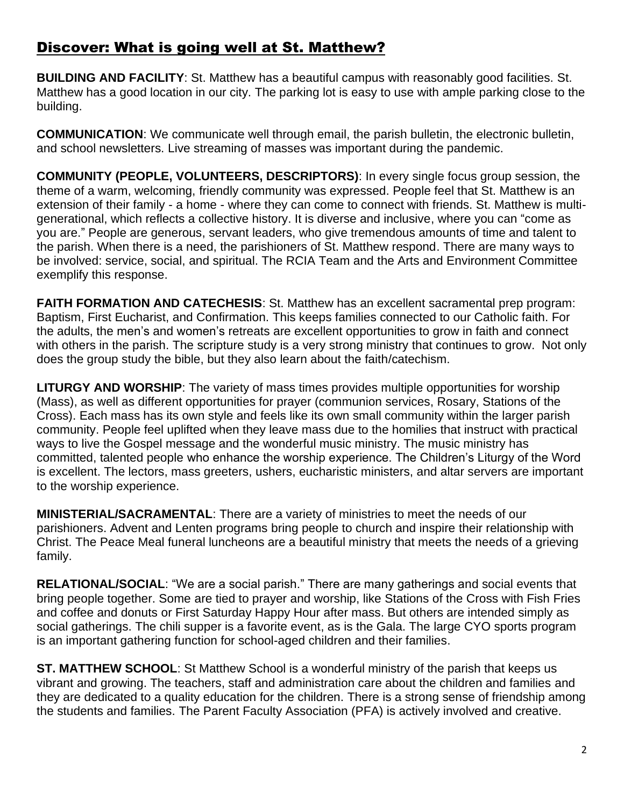## Discover: What is going well at St. Matthew?

**BUILDING AND FACILITY**: St. Matthew has a beautiful campus with reasonably good facilities. St. Matthew has a good location in our city. The parking lot is easy to use with ample parking close to the building.

**COMMUNICATION**: We communicate well through email, the parish bulletin, the electronic bulletin, and school newsletters. Live streaming of masses was important during the pandemic.

**COMMUNITY (PEOPLE, VOLUNTEERS, DESCRIPTORS)**: In every single focus group session, the theme of a warm, welcoming, friendly community was expressed. People feel that St. Matthew is an extension of their family - a home - where they can come to connect with friends. St. Matthew is multigenerational, which reflects a collective history. It is diverse and inclusive, where you can "come as you are." People are generous, servant leaders, who give tremendous amounts of time and talent to the parish. When there is a need, the parishioners of St. Matthew respond. There are many ways to be involved: service, social, and spiritual. The RCIA Team and the Arts and Environment Committee exemplify this response.

**FAITH FORMATION AND CATECHESIS:** St. Matthew has an excellent sacramental prep program: Baptism, First Eucharist, and Confirmation. This keeps families connected to our Catholic faith. For the adults, the men's and women's retreats are excellent opportunities to grow in faith and connect with others in the parish. The scripture study is a very strong ministry that continues to grow. Not only does the group study the bible, but they also learn about the faith/catechism.

**LITURGY AND WORSHIP**: The variety of mass times provides multiple opportunities for worship (Mass), as well as different opportunities for prayer (communion services, Rosary, Stations of the Cross). Each mass has its own style and feels like its own small community within the larger parish community. People feel uplifted when they leave mass due to the homilies that instruct with practical ways to live the Gospel message and the wonderful music ministry. The music ministry has committed, talented people who enhance the worship experience. The Children's Liturgy of the Word is excellent. The lectors, mass greeters, ushers, eucharistic ministers, and altar servers are important to the worship experience.

**MINISTERIAL/SACRAMENTAL**: There are a variety of ministries to meet the needs of our parishioners. Advent and Lenten programs bring people to church and inspire their relationship with Christ. The Peace Meal funeral luncheons are a beautiful ministry that meets the needs of a grieving family.

**RELATIONAL/SOCIAL**: "We are a social parish." There are many gatherings and social events that bring people together. Some are tied to prayer and worship, like Stations of the Cross with Fish Fries and coffee and donuts or First Saturday Happy Hour after mass. But others are intended simply as social gatherings. The chili supper is a favorite event, as is the Gala. The large CYO sports program is an important gathering function for school-aged children and their families.

**ST. MATTHEW SCHOOL**: St Matthew School is a wonderful ministry of the parish that keeps us vibrant and growing. The teachers, staff and administration care about the children and families and they are dedicated to a quality education for the children. There is a strong sense of friendship among the students and families. The Parent Faculty Association (PFA) is actively involved and creative.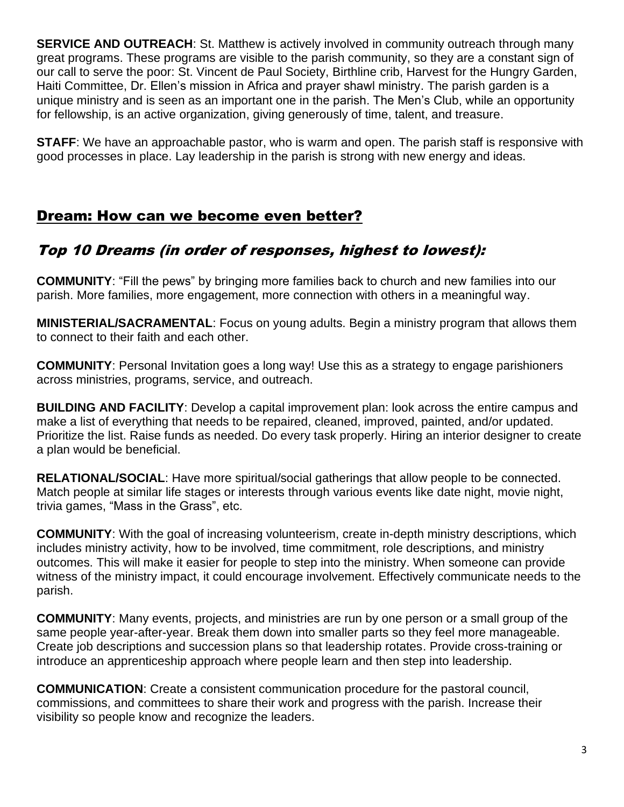**SERVICE AND OUTREACH:** St. Matthew is actively involved in community outreach through many great programs. These programs are visible to the parish community, so they are a constant sign of our call to serve the poor: St. Vincent de Paul Society, Birthline crib, Harvest for the Hungry Garden, Haiti Committee, Dr. Ellen's mission in Africa and prayer shawl ministry. The parish garden is a unique ministry and is seen as an important one in the parish. The Men's Club, while an opportunity for fellowship, is an active organization, giving generously of time, talent, and treasure.

**STAFF**: We have an approachable pastor, who is warm and open. The parish staff is responsive with good processes in place. Lay leadership in the parish is strong with new energy and ideas.

## Dream: How can we become even better?

## Top 10 Dreams (in order of responses, highest to lowest):

**COMMUNITY**: "Fill the pews" by bringing more families back to church and new families into our parish. More families, more engagement, more connection with others in a meaningful way.

**MINISTERIAL/SACRAMENTAL**: Focus on young adults. Begin a ministry program that allows them to connect to their faith and each other.

**COMMUNITY**: Personal Invitation goes a long way! Use this as a strategy to engage parishioners across ministries, programs, service, and outreach.

**BUILDING AND FACILITY**: Develop a capital improvement plan: look across the entire campus and make a list of everything that needs to be repaired, cleaned, improved, painted, and/or updated. Prioritize the list. Raise funds as needed. Do every task properly. Hiring an interior designer to create a plan would be beneficial.

**RELATIONAL/SOCIAL**: Have more spiritual/social gatherings that allow people to be connected. Match people at similar life stages or interests through various events like date night, movie night, trivia games, "Mass in the Grass", etc.

**COMMUNITY**: With the goal of increasing volunteerism, create in-depth ministry descriptions, which includes ministry activity, how to be involved, time commitment, role descriptions, and ministry outcomes. This will make it easier for people to step into the ministry. When someone can provide witness of the ministry impact, it could encourage involvement. Effectively communicate needs to the parish.

**COMMUNITY**: Many events, projects, and ministries are run by one person or a small group of the same people year-after-year. Break them down into smaller parts so they feel more manageable. Create job descriptions and succession plans so that leadership rotates. Provide cross-training or introduce an apprenticeship approach where people learn and then step into leadership.

**COMMUNICATION**: Create a consistent communication procedure for the pastoral council, commissions, and committees to share their work and progress with the parish. Increase their visibility so people know and recognize the leaders.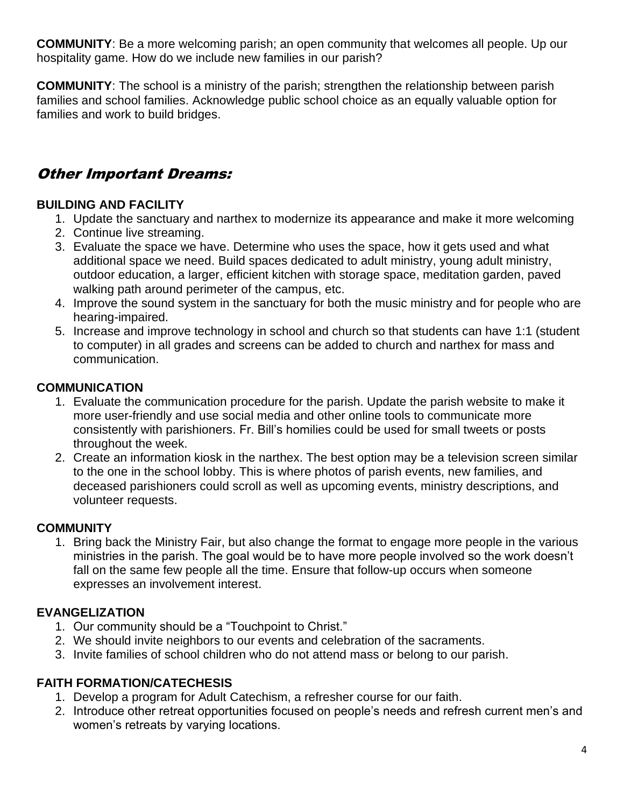**COMMUNITY**: Be a more welcoming parish; an open community that welcomes all people. Up our hospitality game. How do we include new families in our parish?

**COMMUNITY**: The school is a ministry of the parish; strengthen the relationship between parish families and school families. Acknowledge public school choice as an equally valuable option for families and work to build bridges.

# Other Important Dreams:

## **BUILDING AND FACILITY**

- 1. Update the sanctuary and narthex to modernize its appearance and make it more welcoming
- 2. Continue live streaming.
- 3. Evaluate the space we have. Determine who uses the space, how it gets used and what additional space we need. Build spaces dedicated to adult ministry, young adult ministry, outdoor education, a larger, efficient kitchen with storage space, meditation garden, paved walking path around perimeter of the campus, etc.
- 4. Improve the sound system in the sanctuary for both the music ministry and for people who are hearing-impaired.
- 5. Increase and improve technology in school and church so that students can have 1:1 (student to computer) in all grades and screens can be added to church and narthex for mass and communication.

#### **COMMUNICATION**

- 1. Evaluate the communication procedure for the parish. Update the parish website to make it more user-friendly and use social media and other online tools to communicate more consistently with parishioners. Fr. Bill's homilies could be used for small tweets or posts throughout the week.
- 2. Create an information kiosk in the narthex. The best option may be a television screen similar to the one in the school lobby. This is where photos of parish events, new families, and deceased parishioners could scroll as well as upcoming events, ministry descriptions, and volunteer requests.

## **COMMUNITY**

1. Bring back the Ministry Fair, but also change the format to engage more people in the various ministries in the parish. The goal would be to have more people involved so the work doesn't fall on the same few people all the time. Ensure that follow-up occurs when someone expresses an involvement interest.

## **EVANGELIZATION**

- 1. Our community should be a "Touchpoint to Christ."
- 2. We should invite neighbors to our events and celebration of the sacraments.
- 3. Invite families of school children who do not attend mass or belong to our parish.

## **FAITH FORMATION/CATECHESIS**

- 1. Develop a program for Adult Catechism, a refresher course for our faith.
- 2. Introduce other retreat opportunities focused on people's needs and refresh current men's and women's retreats by varying locations.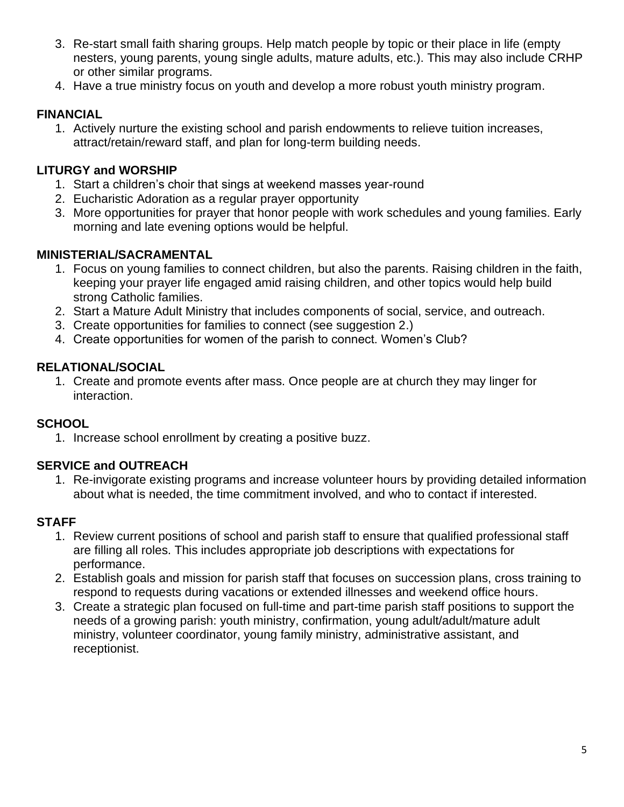- 3. Re-start small faith sharing groups. Help match people by topic or their place in life (empty nesters, young parents, young single adults, mature adults, etc.). This may also include CRHP or other similar programs.
- 4. Have a true ministry focus on youth and develop a more robust youth ministry program.

#### **FINANCIAL**

1. Actively nurture the existing school and parish endowments to relieve tuition increases, attract/retain/reward staff, and plan for long-term building needs.

#### **LITURGY and WORSHIP**

- 1. Start a children's choir that sings at weekend masses year-round
- 2. Eucharistic Adoration as a regular prayer opportunity
- 3. More opportunities for prayer that honor people with work schedules and young families. Early morning and late evening options would be helpful.

#### **MINISTERIAL/SACRAMENTAL**

- 1. Focus on young families to connect children, but also the parents. Raising children in the faith, keeping your prayer life engaged amid raising children, and other topics would help build strong Catholic families.
- 2. Start a Mature Adult Ministry that includes components of social, service, and outreach.
- 3. Create opportunities for families to connect (see suggestion 2.)
- 4. Create opportunities for women of the parish to connect. Women's Club?

#### **RELATIONAL/SOCIAL**

1. Create and promote events after mass. Once people are at church they may linger for interaction.

#### **SCHOOL**

1. Increase school enrollment by creating a positive buzz.

## **SERVICE and OUTREACH**

1. Re-invigorate existing programs and increase volunteer hours by providing detailed information about what is needed, the time commitment involved, and who to contact if interested.

#### **STAFF**

- 1. Review current positions of school and parish staff to ensure that qualified professional staff are filling all roles. This includes appropriate job descriptions with expectations for performance.
- 2. Establish goals and mission for parish staff that focuses on succession plans, cross training to respond to requests during vacations or extended illnesses and weekend office hours.
- 3. Create a strategic plan focused on full-time and part-time parish staff positions to support the needs of a growing parish: youth ministry, confirmation, young adult/adult/mature adult ministry, volunteer coordinator, young family ministry, administrative assistant, and receptionist.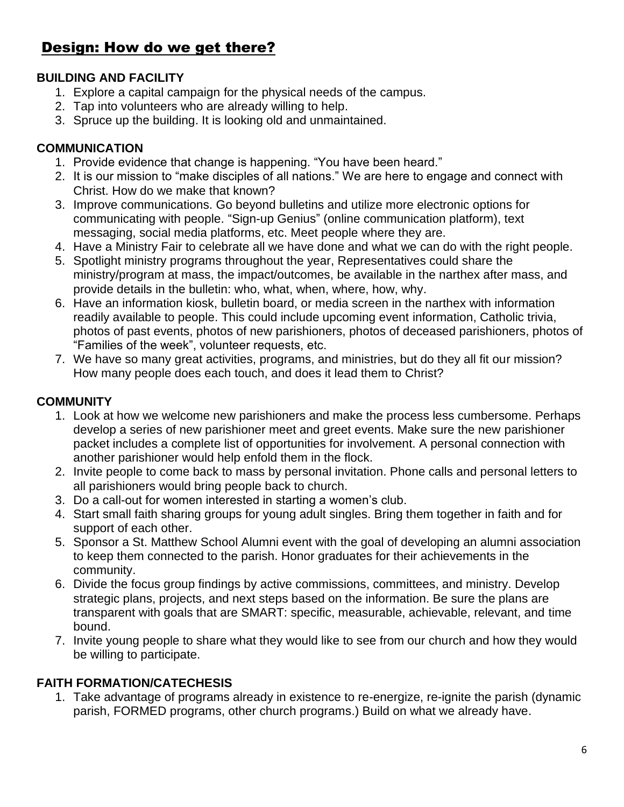## Design: How do we get there?

#### **BUILDING AND FACILITY**

- 1. Explore a capital campaign for the physical needs of the campus.
- 2. Tap into volunteers who are already willing to help.
- 3. Spruce up the building. It is looking old and unmaintained.

#### **COMMUNICATION**

- 1. Provide evidence that change is happening. "You have been heard."
- 2. It is our mission to "make disciples of all nations." We are here to engage and connect with Christ. How do we make that known?
- 3. Improve communications. Go beyond bulletins and utilize more electronic options for communicating with people. "Sign-up Genius" (online communication platform), text messaging, social media platforms, etc. Meet people where they are.
- 4. Have a Ministry Fair to celebrate all we have done and what we can do with the right people.
- 5. Spotlight ministry programs throughout the year, Representatives could share the ministry/program at mass, the impact/outcomes, be available in the narthex after mass, and provide details in the bulletin: who, what, when, where, how, why.
- 6. Have an information kiosk, bulletin board, or media screen in the narthex with information readily available to people. This could include upcoming event information, Catholic trivia, photos of past events, photos of new parishioners, photos of deceased parishioners, photos of "Families of the week", volunteer requests, etc.
- 7. We have so many great activities, programs, and ministries, but do they all fit our mission? How many people does each touch, and does it lead them to Christ?

#### **COMMUNITY**

- 1. Look at how we welcome new parishioners and make the process less cumbersome. Perhaps develop a series of new parishioner meet and greet events. Make sure the new parishioner packet includes a complete list of opportunities for involvement. A personal connection with another parishioner would help enfold them in the flock.
- 2. Invite people to come back to mass by personal invitation. Phone calls and personal letters to all parishioners would bring people back to church.
- 3. Do a call-out for women interested in starting a women's club.
- 4. Start small faith sharing groups for young adult singles. Bring them together in faith and for support of each other.
- 5. Sponsor a St. Matthew School Alumni event with the goal of developing an alumni association to keep them connected to the parish. Honor graduates for their achievements in the community.
- 6. Divide the focus group findings by active commissions, committees, and ministry. Develop strategic plans, projects, and next steps based on the information. Be sure the plans are transparent with goals that are SMART: specific, measurable, achievable, relevant, and time bound.
- 7. Invite young people to share what they would like to see from our church and how they would be willing to participate.

#### **FAITH FORMATION/CATECHESIS**

1. Take advantage of programs already in existence to re-energize, re-ignite the parish (dynamic parish, FORMED programs, other church programs.) Build on what we already have.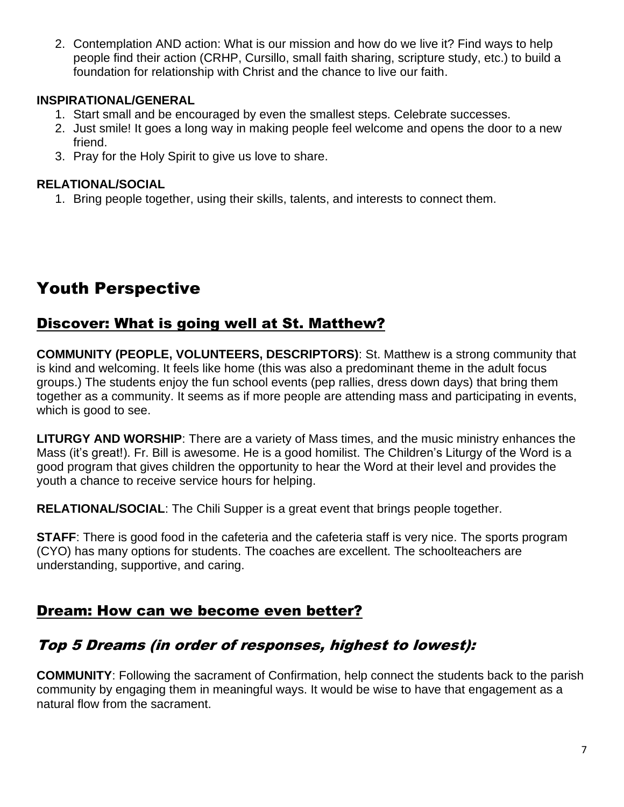2. Contemplation AND action: What is our mission and how do we live it? Find ways to help people find their action (CRHP, Cursillo, small faith sharing, scripture study, etc.) to build a foundation for relationship with Christ and the chance to live our faith.

#### **INSPIRATIONAL/GENERAL**

- 1. Start small and be encouraged by even the smallest steps. Celebrate successes.
- 2. Just smile! It goes a long way in making people feel welcome and opens the door to a new friend.
- 3. Pray for the Holy Spirit to give us love to share.

#### **RELATIONAL/SOCIAL**

1. Bring people together, using their skills, talents, and interests to connect them.

# Youth Perspective

## Discover: What is going well at St. Matthew?

**COMMUNITY (PEOPLE, VOLUNTEERS, DESCRIPTORS)**: St. Matthew is a strong community that is kind and welcoming. It feels like home (this was also a predominant theme in the adult focus groups.) The students enjoy the fun school events (pep rallies, dress down days) that bring them together as a community. It seems as if more people are attending mass and participating in events, which is good to see.

**LITURGY AND WORSHIP**: There are a variety of Mass times, and the music ministry enhances the Mass (it's great!). Fr. Bill is awesome. He is a good homilist. The Children's Liturgy of the Word is a good program that gives children the opportunity to hear the Word at their level and provides the youth a chance to receive service hours for helping.

**RELATIONAL/SOCIAL**: The Chili Supper is a great event that brings people together.

**STAFF:** There is good food in the cafeteria and the cafeteria staff is very nice. The sports program (CYO) has many options for students. The coaches are excellent. The schoolteachers are understanding, supportive, and caring.

## Dream: How can we become even better?

## Top 5 Dreams (in order of responses, highest to lowest):

**COMMUNITY**: Following the sacrament of Confirmation, help connect the students back to the parish community by engaging them in meaningful ways. It would be wise to have that engagement as a natural flow from the sacrament.